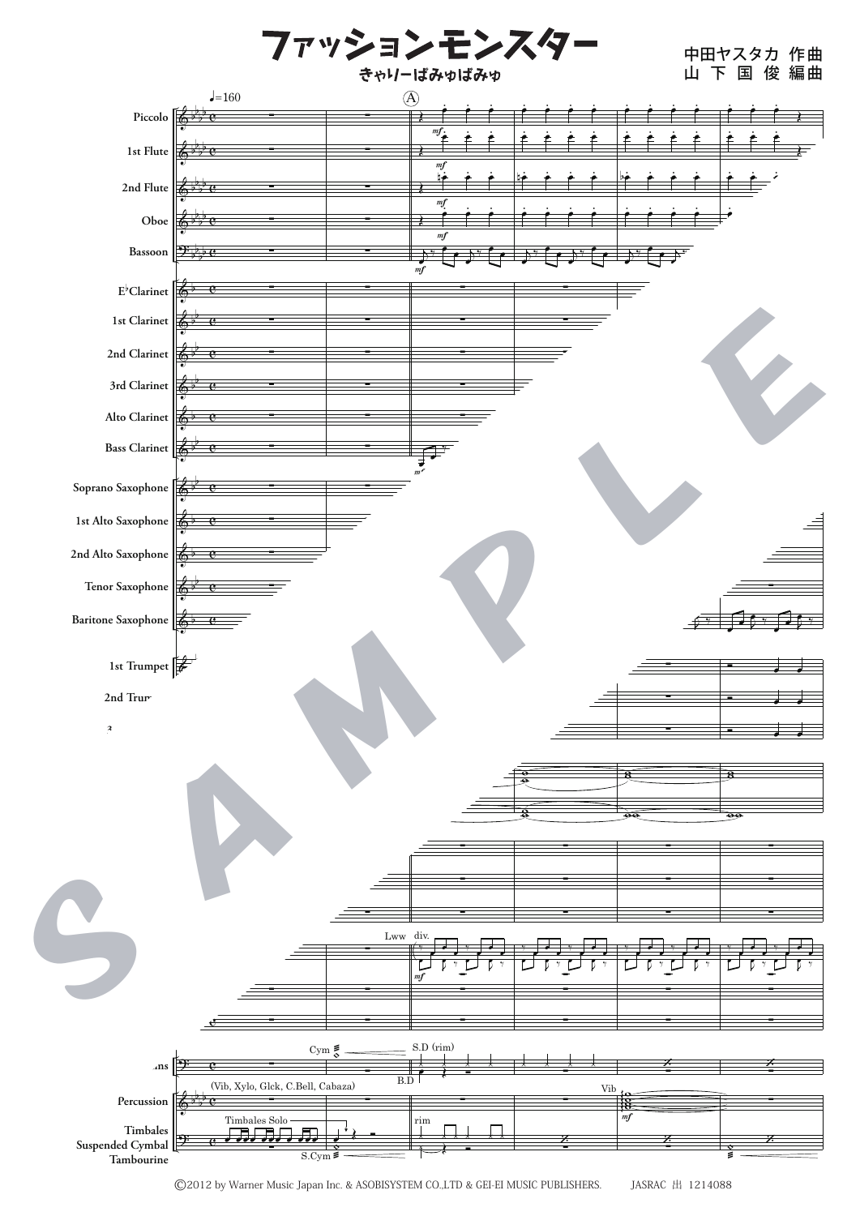

<sup>©2012</sup> by Warner Music Japan Inc. & ASOBISYSTEM CO.,LTD & GEI-EI MUSIC PUBLISHERS. JASRAC 出 1214088